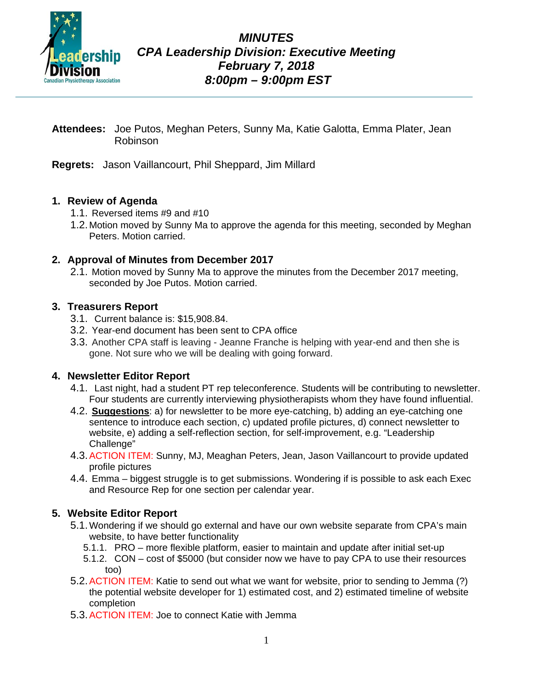

*MINUTES CPA Leadership Division: Executive Meeting February 7, 2018 8:00pm – 9:00pm EST*

- **Attendees:** Joe Putos, Meghan Peters, Sunny Ma, Katie Galotta, Emma Plater, Jean Robinson
- **Regrets:** Jason Vaillancourt, Phil Sheppard, Jim Millard

#### **1. Review of Agenda**

- 1.1. Reversed items #9 and #10
- 1.2. Motion moved by Sunny Ma to approve the agenda for this meeting, seconded by Meghan Peters. Motion carried.

#### **2. Approval of Minutes from December 2017**

2.1. Motion moved by Sunny Ma to approve the minutes from the December 2017 meeting, seconded by Joe Putos. Motion carried.

#### **3. Treasurers Report**

- 3.1. Current balance is: \$15,908.84.
- 3.2. Year-end document has been sent to CPA office
- 3.3. Another CPA staff is leaving Jeanne Franche is helping with year-end and then she is gone. Not sure who we will be dealing with going forward.

#### **4. Newsletter Editor Report**

- 4.1. Last night, had a student PT rep teleconference. Students will be contributing to newsletter. Four students are currently interviewing physiotherapists whom they have found influential.
- 4.2. **Suggestions**: a) for newsletter to be more eye-catching, b) adding an eye-catching one sentence to introduce each section, c) updated profile pictures, d) connect newsletter to website, e) adding a self-reflection section, for self-improvement, e.g. "Leadership Challenge"
- 4.3.ACTION ITEM: Sunny, MJ, Meaghan Peters, Jean, Jason Vaillancourt to provide updated profile pictures
- 4.4. Emma biggest struggle is to get submissions. Wondering if is possible to ask each Exec and Resource Rep for one section per calendar year.

# **5. Website Editor Report**

- 5.1.Wondering if we should go external and have our own website separate from CPA's main website, to have better functionality
	- 5.1.1. PRO more flexible platform, easier to maintain and update after initial set-up
	- 5.1.2. CON cost of \$5000 (but consider now we have to pay CPA to use their resources too)
- 5.2. ACTION ITEM: Katie to send out what we want for website, prior to sending to Jemma (?) the potential website developer for 1) estimated cost, and 2) estimated timeline of website completion
- 5.3.ACTION ITEM: Joe to connect Katie with Jemma